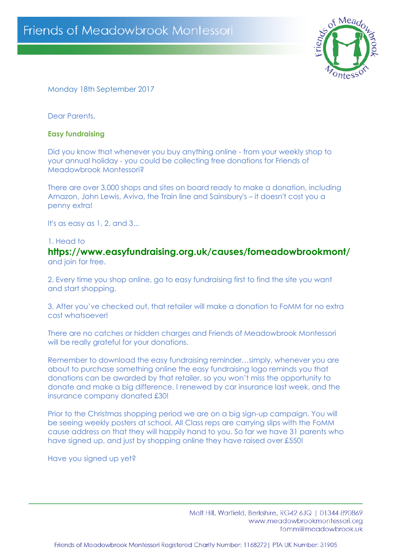

# Monday 18th September 2017

Dear Parents,

### **Easy fundraising**

Did you know that whenever you buy anything online - from your weekly shop to your annual holiday - you could be collecting free donations for Friends of Meadowbrook Montessori?

There are over 3,000 shops and sites on board ready to make a donation, including Amazon, John Lewis, Aviva, the Train line and Sainsbury's – it doesn't cost you a penny extra!

It's as easy as 1, 2, and 3...

#### 1. Head to

**https://www.easyfundraising.org.uk/causes/fomeadowbrookmont/** and join for free.

2. Every time you shop online, go to easy fundraising first to find the site you want and start shopping.

3. After you've checked out, that retailer will make a donation to FoMM for no extra cost whatsoever!

There are no catches or hidden charges and Friends of Meadowbrook Montessori will be really grateful for your donations.

Remember to download the easy fundraising reminder…simply, whenever you are about to purchase something online the easy fundraising logo reminds you that donations can be awarded by that retailer, so you won't miss the opportunity to donate and make a big difference. I renewed by car insurance last week, and the insurance company donated £30!

Prior to the Christmas shopping period we are on a big sign-up campaign. You will be seeing weekly posters at school. All Class reps are carrying slips with the FoMM cause address on that they will happily hand to you. So far we have 31 parents who have signed up, and just by shopping online they have raised over £550!

Have you signed up yet?